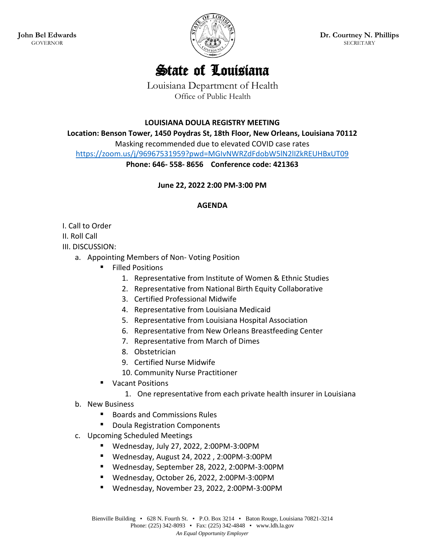**John Bel Edwards** GOVERNOR



## State of Louisiana

Louisiana Department of Health Office of Public Health

**LOUISIANA DOULA REGISTRY MEETING** 

**Location: Benson Tower, 1450 Poydras St, 18th Floor, New Orleans, Louisiana 70112**

Masking recommended due to elevated COVID case rates

<https://zoom.us/j/96967531959?pwd=MGIvNWRZdFdobW5lN2lIZkREUHBxUT09>

**Phone: 646- 558- 8656 Conference code: 421363**

**June 22, 2022 2:00 PM-3:00 PM**

## **AGENDA**

I. Call to Order

II. Roll Call

III. DISCUSSION:

- a. Appointing Members of Non- Voting Position
	- Filled Positions
		- 1. Representative from Institute of Women & Ethnic Studies
		- 2. Representative from National Birth Equity Collaborative
		- 3. Certified Professional Midwife
		- 4. Representative from Louisiana Medicaid
		- 5. Representative from Louisiana Hospital Association
		- 6. Representative from New Orleans Breastfeeding Center
		- 7. Representative from March of Dimes
		- 8. Obstetrician
		- 9. Certified Nurse Midwife
		- 10. Community Nurse Practitioner
	- Vacant Positions
		- 1. One representative from each private health insurer in Louisiana
- b. New Business
	- Boards and Commissions Rules
	- **Doula Registration Components**
- c. Upcoming Scheduled Meetings
	- Wednesday, July 27, 2022, 2:00PM-3:00PM
	- Wednesday, August 24, 2022 , 2:00PM-3:00PM
	- Wednesday, September 28, 2022, 2:00PM-3:00PM
	- Wednesday, October 26, 2022, 2:00PM-3:00PM
	- Wednesday, November 23, 2022, 2:00PM-3:00PM